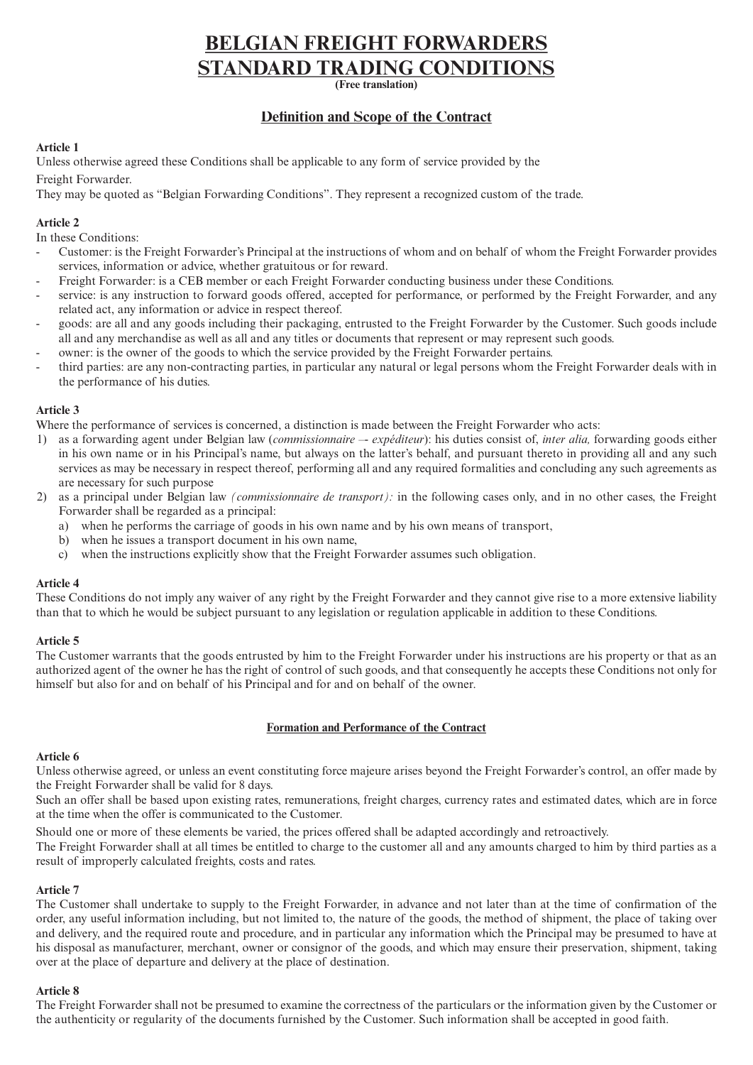# **BELGIAN FREIGHT FORWARDERS STANDARD TRADING CONDITIONS**

**(Free translation)**

# **Definition and Scope of the Contract**

# **Article 1**

Unless otherwise agreed these Conditions shall be applicable to any form of service provided by the Freight Forwarder.

They may be quoted as "Belgian Forwarding Conditions". They represent a recognized custom of the trade.

# **Article 2**

In these Conditions:

- Customer: is the Freight Forwarder's Principal at the instructions of whom and on behalf of whom the Freight Forwarder provides services, information or advice, whether gratuitous or for reward.
- Freight Forwarder: is a CEB member or each Freight Forwarder conducting business under these Conditions.
- service: is any instruction to forward goods offered, accepted for performance, or performed by the Freight Forwarder, and any related act, any information or advice in respect thereof.
- goods: are all and any goods including their packaging, entrusted to the Freight Forwarder by the Customer. Such goods include all and any merchandise as well as all and any titles or documents that represent or may represent such goods.
- owner: is the owner of the goods to which the service provided by the Freight Forwarder pertains.
- third parties: are any non-contracting parties, in particular any natural or legal persons whom the Freight Forwarder deals with in the performance of his duties.

# **Article 3**

Where the performance of services is concerned, a distinction is made between the Freight Forwarder who acts:

- 1) as a forwarding agent under Belgian law (*commissionnaire –- expéditeur*): his duties consist of, *inter alia,* forwarding goods either in his own name or in his Principal's name, but always on the latter's behalf, and pursuant thereto in providing all and any such services as may be necessary in respect thereof, performing all and any required formalities and concluding any such agreements as are necessary for such purpose
- 2) as a principal under Belgian law *(commissionnaire de transport):* in the following cases only, and in no other cases, the Freight Forwarder shall be regarded as a principal:
	- a) when he performs the carriage of goods in his own name and by his own means of transport,
	- b) when he issues a transport document in his own name,
	- c) when the instructions explicitly show that the Freight Forwarder assumes such obligation.

## **Article 4**

These Conditions do not imply any waiver of any right by the Freight Forwarder and they cannot give rise to a more extensive liability than that to which he would be subject pursuant to any legislation or regulation applicable in addition to these Conditions.

## **Article 5**

The Customer warrants that the goods entrusted by him to the Freight Forwarder under his instructions are his property or that as an authorized agent of the owner he has the right of control of such goods, and that consequently he accepts these Conditions not only for himself but also for and on behalf of his Principal and for and on behalf of the owner.

## **Formation and Performance of the Contract**

# **Article 6**

Unless otherwise agreed, or unless an event constituting force majeure arises beyond the Freight Forwarder's control, an offer made by the Freight Forwarder shall be valid for 8 days.

Such an offer shall be based upon existing rates, remunerations, freight charges, currency rates and estimated dates, which are in force at the time when the offer is communicated to the Customer.

Should one or more of these elements be varied, the prices offered shall be adapted accordingly and retroactively.

The Freight Forwarder shall at all times be entitled to charge to the customer all and any amounts charged to him by third parties as a result of improperly calculated freights, costs and rates.

## **Article 7**

The Customer shall undertake to supply to the Freight Forwarder, in advance and not later than at the time of confirmation of the order, any useful information including, but not limited to, the nature of the goods, the method of shipment, the place of taking over and delivery, and the required route and procedure, and in particular any information which the Principal may be presumed to have at his disposal as manufacturer, merchant, owner or consignor of the goods, and which may ensure their preservation, shipment, taking over at the place of departure and delivery at the place of destination.

# **Article 8**

The Freight Forwarder shall not be presumed to examine the correctness of the particulars or the information given by the Customer or the authenticity or regularity of the documents furnished by the Customer. Such information shall be accepted in good faith.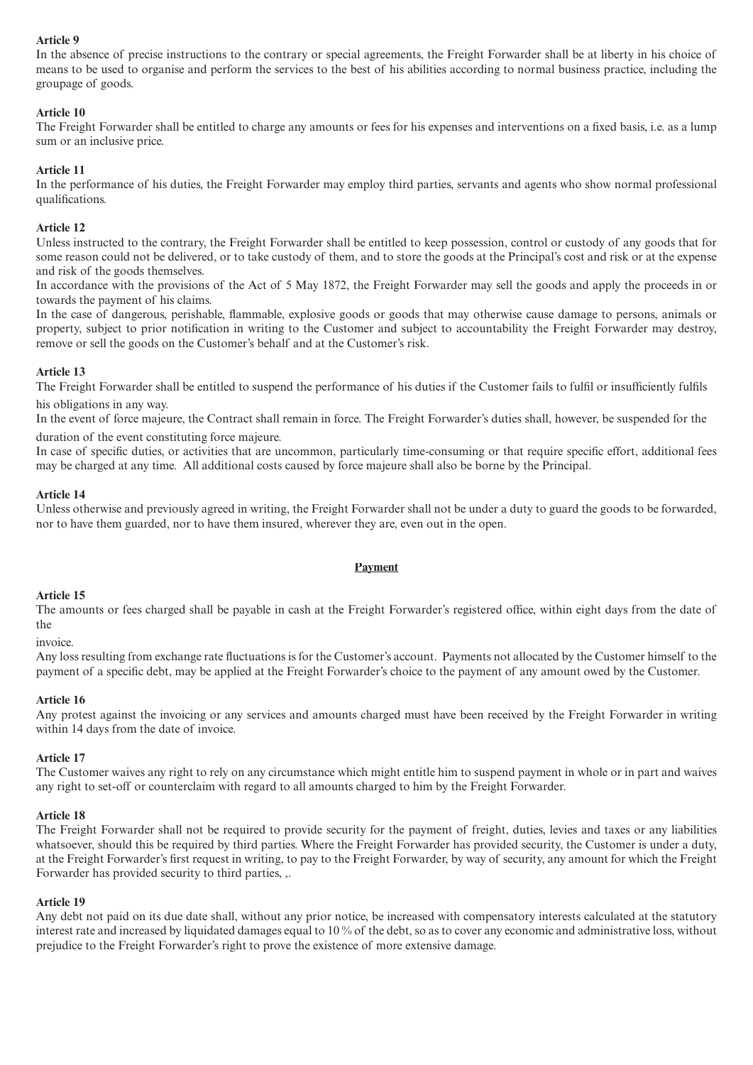# **Article 9**

In the absence of precise instructions to the contrary or special agreements, the Freight Forwarder shall be at liberty in his choice of means to be used to organise and perform the services to the best of his abilities according to normal business practice, including the groupage of goods.

# **Article 10**

The Freight Forwarder shall be entitled to charge any amounts or fees for his expenses and interventions on a fixed basis, i.e. as a lump sum or an inclusive price.

# **Article 11**

In the performance of his duties, the Freight Forwarder may employ third parties, servants and agents who show normal professional qualifications.

## **Article 12**

Unless instructed to the contrary, the Freight Forwarder shall be entitled to keep possession, control or custody of any goods that for some reason could not be delivered, or to take custody of them, and to store the goods at the Principal's cost and risk or at the expense and risk of the goods themselves.

In accordance with the provisions of the Act of 5 May 1872, the Freight Forwarder may sell the goods and apply the proceeds in or towards the payment of his claims.

In the case of dangerous, perishable, flammable, explosive goods or goods that may otherwise cause damage to persons, animals or property, subject to prior notification in writing to the Customer and subject to accountability the Freight Forwarder may destroy, remove or sell the goods on the Customer's behalf and at the Customer's risk.

#### **Article 13**

The Freight Forwarder shall be entitled to suspend the performance of his duties if the Customer fails to fulfil or insufficiently fulfils his obligations in any way.

In the event of force majeure, the Contract shall remain in force. The Freight Forwarder's duties shall, however, be suspended for the duration of the event constituting force majeure.

In case of specific duties, or activities that are uncommon, particularly time-consuming or that require specific effort, additional fees may be charged at any time. All additional costs caused by force majeure shall also be borne by the Principal.

# **Article 14**

Unless otherwise and previously agreed in writing, the Freight Forwarder shall not be under a duty to guard the goods to be forwarded, nor to have them guarded, nor to have them insured, wherever they are, even out in the open.

## **Payment**

#### **Article 15**

The amounts or fees charged shall be payable in cash at the Freight Forwarder's registered office, within eight days from the date of the

invoice.

Any loss resulting from exchange rate fluctuations is for the Customer's account. Payments not allocated by the Customer himself to the payment of a specific debt, may be applied at the Freight Forwarder's choice to the payment of any amount owed by the Customer.

#### **Article 16**

Any protest against the invoicing or any services and amounts charged must have been received by the Freight Forwarder in writing within 14 days from the date of invoice.

## **Article 17**

The Customer waives any right to rely on any circumstance which might entitle him to suspend payment in whole or in part and waives any right to set-off or counterclaim with regard to all amounts charged to him by the Freight Forwarder.

#### **Article 18**

The Freight Forwarder shall not be required to provide security for the payment of freight, duties, levies and taxes or any liabilities whatsoever, should this be required by third parties. Where the Freight Forwarder has provided security, the Customer is under a duty, at the Freight Forwarder's first request in writing, to pay to the Freight Forwarder, by way of security, any amount for which the Freight Forwarder has provided security to third parties, ,.

#### **Article 19**

Any debt not paid on its due date shall, without any prior notice, be increased with compensatory interests calculated at the statutory interest rate and increased by liquidated damages equal to 10 % of the debt, so as to cover any economic and administrative loss, without prejudice to the Freight Forwarder's right to prove the existence of more extensive damage.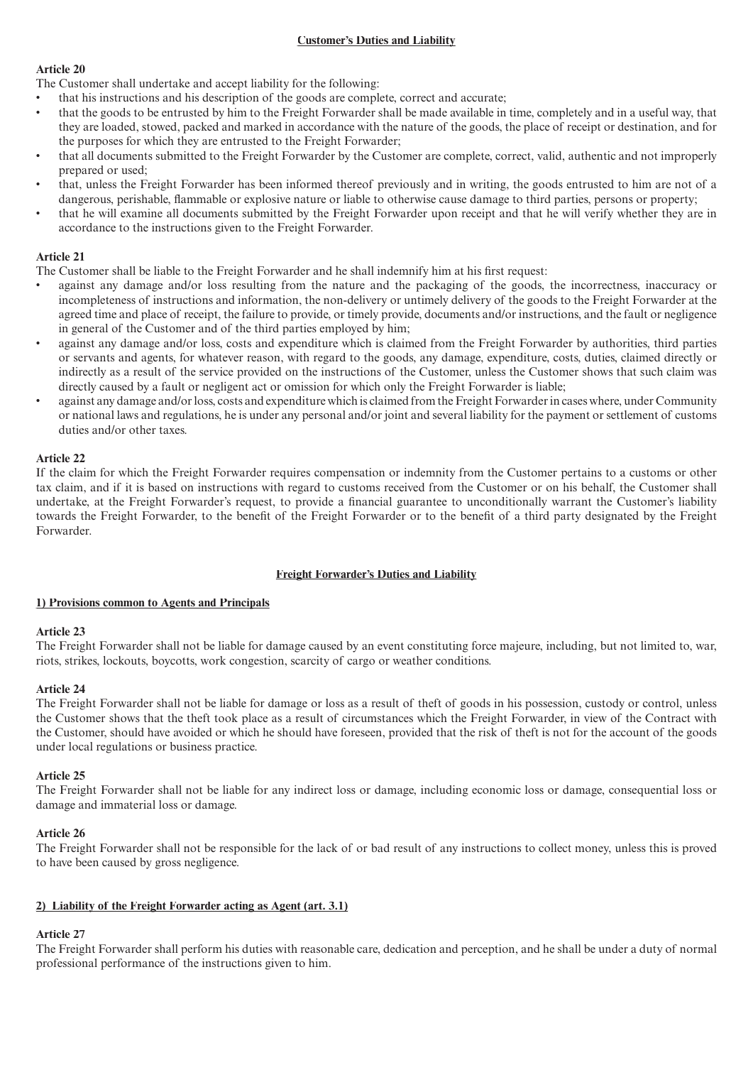# **Customer's Duties and Liability**

# **Article 20**

The Customer shall undertake and accept liability for the following:

- that his instructions and his description of the goods are complete, correct and accurate;
- that the goods to be entrusted by him to the Freight Forwarder shall be made available in time, completely and in a useful way, that they are loaded, stowed, packed and marked in accordance with the nature of the goods, the place of receipt or destination, and for the purposes for which they are entrusted to the Freight Forwarder;
- that all documents submitted to the Freight Forwarder by the Customer are complete, correct, valid, authentic and not improperly prepared or used;
- that, unless the Freight Forwarder has been informed thereof previously and in writing, the goods entrusted to him are not of a dangerous, perishable, flammable or explosive nature or liable to otherwise cause damage to third parties, persons or property;
- that he will examine all documents submitted by the Freight Forwarder upon receipt and that he will verify whether they are in accordance to the instructions given to the Freight Forwarder.

# **Article 21**

The Customer shall be liable to the Freight Forwarder and he shall indemnify him at his first request:

- against any damage and/or loss resulting from the nature and the packaging of the goods, the incorrectness, inaccuracy or incompleteness of instructions and information, the non-delivery or untimely delivery of the goods to the Freight Forwarder at the agreed time and place of receipt, the failure to provide, or timely provide, documents and/or instructions, and the fault or negligence in general of the Customer and of the third parties employed by him;
- against any damage and/or loss, costs and expenditure which is claimed from the Freight Forwarder by authorities, third parties or servants and agents, for whatever reason, with regard to the goods, any damage, expenditure, costs, duties, claimed directly or indirectly as a result of the service provided on the instructions of the Customer, unless the Customer shows that such claim was directly caused by a fault or negligent act or omission for which only the Freight Forwarder is liable;
- against any damage and/or loss, costs and expenditure which is claimed from the Freight Forwarder in cases where, under Community or national laws and regulations, he is under any personal and/or joint and several liability for the payment or settlement of customs duties and/or other taxes.

# **Article 22**

If the claim for which the Freight Forwarder requires compensation or indemnity from the Customer pertains to a customs or other tax claim, and if it is based on instructions with regard to customs received from the Customer or on his behalf, the Customer shall undertake, at the Freight Forwarder's request, to provide a financial guarantee to unconditionally warrant the Customer's liability towards the Freight Forwarder, to the benefit of the Freight Forwarder or to the benefit of a third party designated by the Freight Forwarder.

# **Freight Forwarder's Duties and Liability**

## **1) Provisions common to Agents and Principals**

## **Article 23**

The Freight Forwarder shall not be liable for damage caused by an event constituting force majeure, including, but not limited to, war, riots, strikes, lockouts, boycotts, work congestion, scarcity of cargo or weather conditions.

## **Article 24**

The Freight Forwarder shall not be liable for damage or loss as a result of theft of goods in his possession, custody or control, unless the Customer shows that the theft took place as a result of circumstances which the Freight Forwarder, in view of the Contract with the Customer, should have avoided or which he should have foreseen, provided that the risk of theft is not for the account of the goods under local regulations or business practice.

## **Article 25**

The Freight Forwarder shall not be liable for any indirect loss or damage, including economic loss or damage, consequential loss or damage and immaterial loss or damage.

## **Article 26**

The Freight Forwarder shall not be responsible for the lack of or bad result of any instructions to collect money, unless this is proved to have been caused by gross negligence.

# **2) Liability of the Freight Forwarder acting as Agent (art. 3.1)**

# **Article 27**

The Freight Forwarder shall perform his duties with reasonable care, dedication and perception, and he shall be under a duty of normal professional performance of the instructions given to him.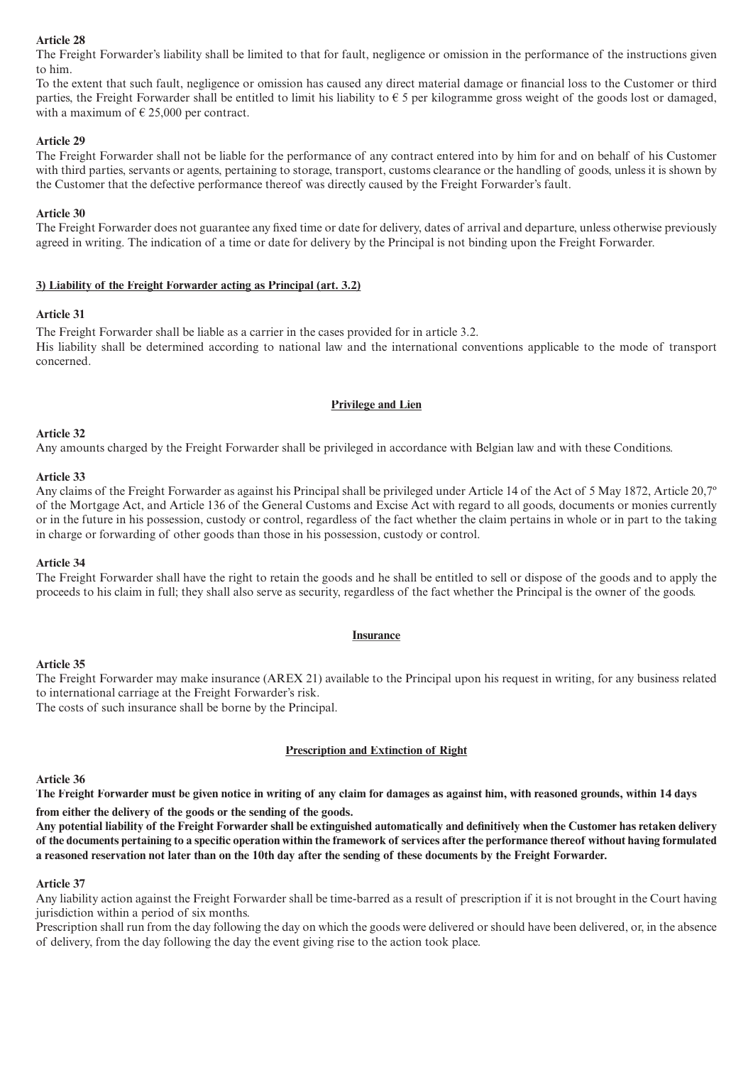#### **Article 28**

The Freight Forwarder's liability shall be limited to that for fault, negligence or omission in the performance of the instructions given to him.

To the extent that such fault, negligence or omission has caused any direct material damage or financial loss to the Customer or third parties, the Freight Forwarder shall be entitled to limit his liability to  $\epsilon$  5 per kilogramme gross weight of the goods lost or damaged, with a maximum of  $\epsilon$  25,000 per contract.

#### **Article 29**

The Freight Forwarder shall not be liable for the performance of any contract entered into by him for and on behalf of his Customer with third parties, servants or agents, pertaining to storage, transport, customs clearance or the handling of goods, unless it is shown by the Customer that the defective performance thereof was directly caused by the Freight Forwarder's fault.

#### **Article 30**

The Freight Forwarder does not guarantee any fixed time or date for delivery, dates of arrival and departure, unless otherwise previously agreed in writing. The indication of a time or date for delivery by the Principal is not binding upon the Freight Forwarder.

#### **3) Liability of the Freight Forwarder acting as Principal (art. 3.2)**

#### **Article 31**

The Freight Forwarder shall be liable as a carrier in the cases provided for in article 3.2. His liability shall be determined according to national law and the international conventions applicable to the mode of transport concerned.

#### **Privilege and Lien**

#### **Article 32**

Any amounts charged by the Freight Forwarder shall be privileged in accordance with Belgian law and with these Conditions.

#### **Article 33**

Any claims of the Freight Forwarder as against his Principal shall be privileged under Article 14 of the Act of 5 May 1872, Article 20,7º of the Mortgage Act, and Article 136 of the General Customs and Excise Act with regard to all goods, documents or monies currently or in the future in his possession, custody or control, regardless of the fact whether the claim pertains in whole or in part to the taking in charge or forwarding of other goods than those in his possession, custody or control.

#### **Article 34**

The Freight Forwarder shall have the right to retain the goods and he shall be entitled to sell or dispose of the goods and to apply the proceeds to his claim in full; they shall also serve as security, regardless of the fact whether the Principal is the owner of the goods.

#### **Insurance**

#### **Article 35**

The Freight Forwarder may make insurance (AREX 21) available to the Principal upon his request in writing, for any business related to international carriage at the Freight Forwarder's risk. The costs of such insurance shall be borne by the Principal.

## **Prescription and Extinction of Right**

#### **Article 36**

**The Freight Forwarder must be given notice in writing of any claim for damages as against him, with reasoned grounds, within 14 days from either the delivery of the goods or the sending of the goods.**

Any potential liability of the Freight Forwarder shall be extinguished automatically and definitively when the Customer has retaken delivery of the documents pertaining to a specific operation within the framework of services after the performance thereof without having formulated **a reasoned reservation not later than on the 10th day after the sending of these documents by the Freight Forwarder.**

#### **Article 37**

Any liability action against the Freight Forwarder shall be time-barred as a result of prescription if it is not brought in the Court having jurisdiction within a period of six months.

Prescription shall run from the day following the day on which the goods were delivered or should have been delivered, or, in the absence of delivery, from the day following the day the event giving rise to the action took place.